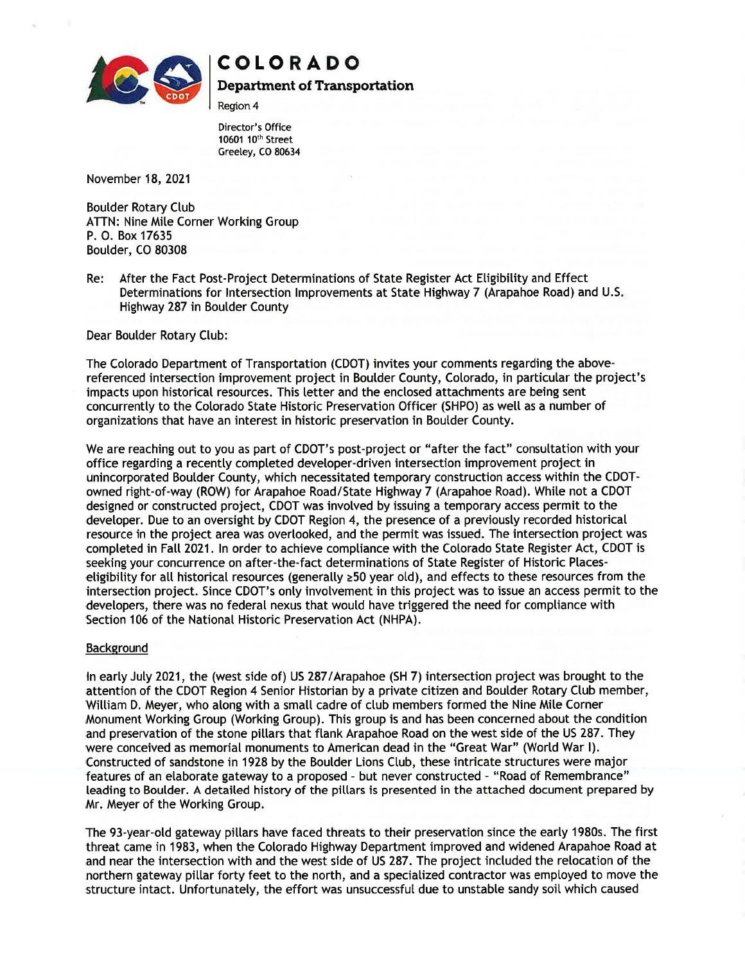

# COLORADO

Department of Transportation

Region 4

Director's Office 10601 10th Street Greeley, CO 80634

November 18, 2021

Boulder Rotary Club ATTN: Nine Mile Corner Working Group P. 0. Box 17635 Boulder, CO 80308

Re: After the Fact Post-Project Determinations of State Register Act Eligibility and Effect Determinations for Intersection Improvements at State Highway 7 (Arapahoe Road) and U.S. Highway 287 in Boulder County

Dear Boulder Rotary Club:

The Colorado Department of Transportation (CDOT) invites your comments regarding the abovereferenced intersection improvement project in Boulder County, Colorado, in particular the project's impacts upon historical resources. This letter and the enclosed attachments are being sent concurrently to the Colorado State Historic Preservation Officer (SHPO) as well as a number of organizations that have an interest in historic preservation in Boulder County.

We are reaching out to you as part of CDOT's post-project or "after the fact" consultation with your office regarding a recently completed developer-driven intersection improvement project in unincorporated Boulder County, which necessitated temporary construction access within the CDOTowned right-of-way (ROW) for Arapahoe Road/State Highway 7 (Arapahoe Road). While not a CDOT designed or constructed project, CDOT was involved by issuing a temporary access permit to the developer. Due to an oversight by CDOT Region 4, the presence of a previously recorded historical resource in the project area was overlooked, and the permit was issued. The intersection project was completed in Fall 2021. In order to achieve compliance with the Colorado State Register Act, CDOT is seeking your concurrence on after-the-fact determinations of State Register of Historic Placeseligibility for all historical resources (generally  $\geq 50$  year old), and effects to these resources from the intersection project. Since CDOT's only involvement in this project was to issue an access permit to the developers, there was no federal nexus that would have triggered the need for compliance with Section 106 of the National Historic Preservation Act (NHPA).

### Background

In early July 2021, the (west side of) US 287/Arapahoe (SH 7) intersection project was brought to the attention of the CDOT Region 4 Senior Historian by a private citizen and Boulder Rotary Club member, William D. Meyer, who along with a small cadre of club members formed the Nine Mile Corner Monument Working Group (Working Group). This group is and has been concerned about the condition and preservation of the stone pillars that flank Arapahoe Road on the west side of the US 287. They were conceived as memorial monuments to American dead in the "Great War" (World War I). Constructed of sandstone in 1928 by the Boulder Lions Club, these intricate structures were major features of an elaborate gateway to a proposed - but never constructed - "Road of Remembrance" leading to Boulder. A detailed history of the pillars is presented in the attached document prepared by Mr. Meyer of the Working Group.

The 93-year-old gateway pillars have faced threats to their preservation since the early 1980s. The first threat came in 1983, when the Colorado Highway Department improved and widened Arapahoe Road at and near the intersection with and the west side of US 287. The project included the relocation of the northern gateway pillar forty feet to the north, and a specialized contractor was employed to move the structure intact. Unfortunately, the effort was unsuccessful due to unstable sandy soil which caused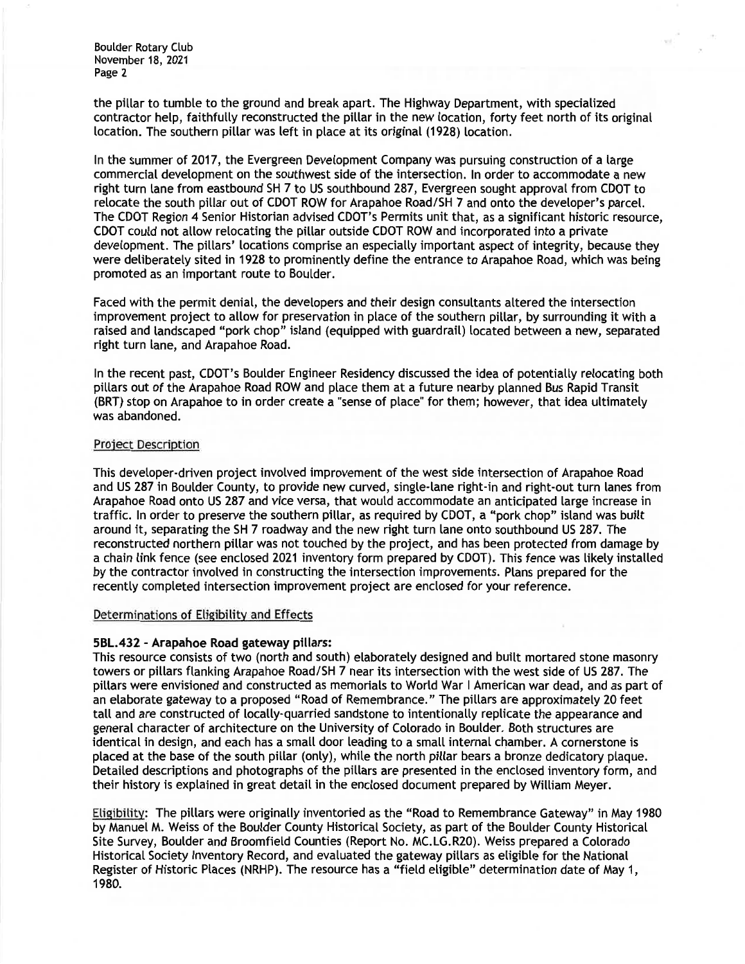the pillar to tumble to the ground and break apart. The Highway Department, with specialized contractor help, faithfully reconstructed the pillar in the new location, forty feet north of its original location. The southern pillar was left in place at its original (1928) location.

In the summer of 2017, the Evergreen Development Company was pursuing construction of a large commercial development on the southwest side of the intersection. In order to accommodate a new right turn lane from eastbound SH 7 to US southbound 287, Evergreen sought approval from CDOT to relocate the south pillar out of CDOT ROW for Arapahoe Road/SH 7 and onto the developer's parcel. The CDOT Region 4 Senior Historian advised CDOT's Permits unit that, as a significant historic resource, CDOT could not allow relocating the pillar outside CDOT ROW and incorporated into a private development. The pillars' locations comprise an especially important aspect of integrity, because they were deliberately sited in 1928 to prominently define the entrance to Arapahoe Road, which was being promoted as an important route to Boulder.

Faced with the permit denial, the developers and their design consultants altered the intersection improvement project to allow for preservation in place of the southern pillar, by surrounding it with a raised and landscaped "pork chop" island (equipped with guardrail) located between a new, separated right turn lane, and Arapahoe Road.

In the recent past, CDOT's Boulder Engineer Residency discussed the idea of potentially relocating both pillars out of the Arapahoe Road ROW and place them at a future nearby planned Bus Rapid Transit (BRT) stop on Arapahoe to in order create a "sense of place" for them; however, that idea ultimately was abandoned.

### Project Description

This developer-driven project involved improvement of the west side intersection of Arapahoe Road and US 287 in Boulder County, to provide new curved, single-lane right-in and right-out turn lanes from Arapahoe Road onto US 287 and vice versa, that would accommodate an anticipated large increase in traffic. In order to preserve the southern pillar, as required by CDOT, a "pork chop" island was built around it, separating the SH 7 roadway and the new right turn lane onto southbound US 287. The reconstructed northern pillar was not touched by the project, and has been protected from damage by a chain link fence (see enclosed 2021 inventory form prepared by CDOT). This fence was likely installed by the contractor involved in constructing the intersection improvements. Plans prepared for the recently completed intersection improvement project are enclosed for your reference.

### Determinations of Eligibility and Effects

## 5BL.432 - Arapahoe Road gateway pillars:

This resource consists of two (north and south) elaborately designed and built mortared stone masonry towers or pillars flanking Arapahoe Road/SH 7 near its intersection with the west side of US 287. The pillars were envisioned and constructed as memorials to World War I American war dead, and as part of an elaborate gateway to a proposed "Road of Remembrance." The pillars are approximately 20 feet tall and are constructed of locally-quarried sandstone to intentionally replicate the appearance and general character of architecture on the University of Colorado in Boulder. Both structures are identical in design, and each has a small door leading to a small internal chamber. A cornerstone is placed at the base of the south pillar (only), while the north pillar bears a bronze dedicatory plaque. Detailed descriptions and photographs of the pillars are presented in the enclosed inventory form, and their history is explained in great detail in the enclosed document prepared by William Meyer.

Eligibility: The pillars were originally inventoried as the "Road to Remembrance Gateway" in May 1980 by Manuel M. Weiss of the Boulder County Historical Society, as part of the Boulder County Historical Site Survey, Boulder and Broomfield Counties (Report No. MC.LG.R20). Weiss prepared a Colorado Historical Society Inventory Record, and evaluated the gateway pillars as eligible for the National Register of Historic Places (NRHP). The resource has a "field eligible" determination date of May 1, 1980.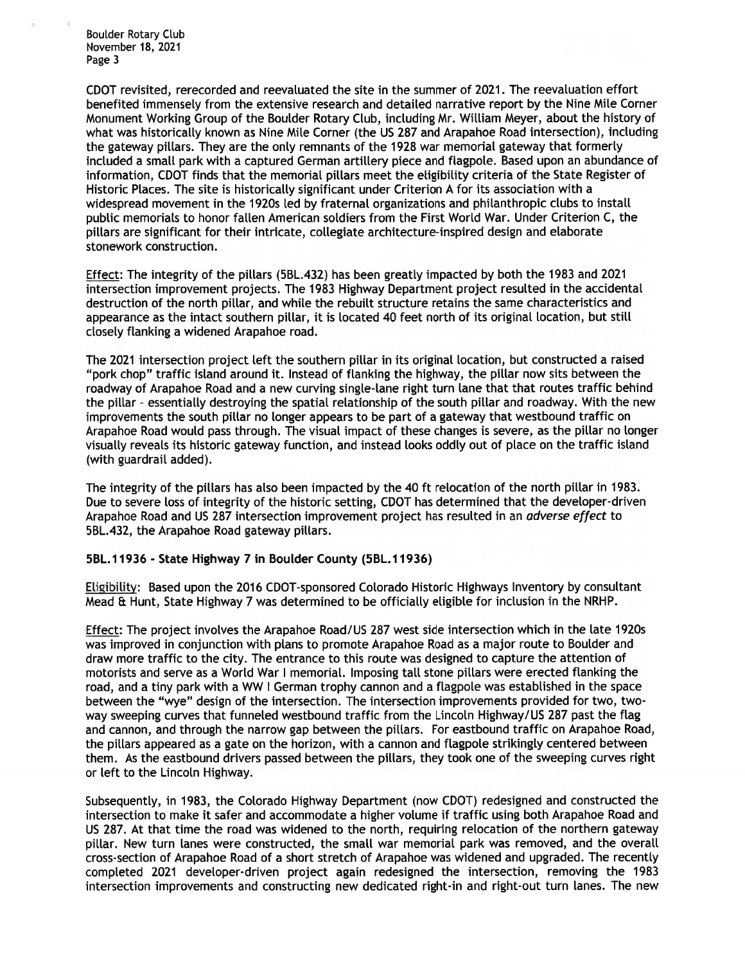CDOT revisited, rerecorded and reevaluated the site in the summer of 2021. The reevaluation effort benefited immensely from the extensive research and detailed narrative report by the Nine Mile Corner Monument Working Group of the Boulder Rotary Club, including Mr. William Meyer, about the history of what was historically known as Nine Mile Corner (the US 287 and Arapahoe Road intersection), including the gateway pillars. They are the only remnants of the 1928 war memorial gateway that formerly included a small park with a captured German artillery piece and flagpole. Based upon an abundance of information, CDOT finds that the memorial pillars meet the eligibility criteria of the State Register of Historic Places. The site is historically significant under Criterion A for its association with a widespread movement in the 1920s led by fraternal organizations and philanthropic clubs to install public memorials to honor fallen American soldiers from the First World War. Under Criterion C, the pillars are significant for their intricate, collegiate architecture-inspired design and elaborate stonework construction.

Effect: The integrity of the pillars (5BL.432) has been greatly impacted by both the 1983 and 2021 intersection improvement projects. The 1983 Highway Department project resulted in the accidental destruction of the north pillar, and while the rebuilt structure retains the same characteristics and appearance as the intact southern pillar, it is located 40 feet north of its original location, but still closely flanking a widened Arapahoe road.

The 2021 intersection project left the southern pillar in its original location, but constructed a raised "pork chop" traffic island around it. Instead of flanking the highway, the pillar now sits between the roadway of Arapahoe Road and a new curving single-lane right turn lane that that routes traffic behind the pillar - essentially destroying the spatial relationship of the south pillar and roadway. With the new improvements the south pillar no longer appears to be part of a gateway that westbound traffic on Arapahoe Road would pass through. The visual impact of these changes is severe, as the pillar no longer visually reveals its historic gateway function, and instead looks oddly out of place on the traffic island (with guardrail added).

The integrity of the pillars has also been impacted by the 40 ft relocation of the north pillar in 1983. Due to severe loss of integrity of the historic setting, CDOT has determined that the developer-driven Arapahoe Road and US 287 intersection improvement project has resulted in an *adverse effect* to 5BL.432, the Arapahoe Road gateway pillars.

### 5BL.11936 - State Highway 7 in Boulder County (5BL.11936)

Eligibility: Based upon the 2016 CDOT-sponsored Colorado Historic Highways Inventory by consultant Mead & Hunt, State Highway 7 was determined to be officially eligible for inclusion in the NRHP.

Effect: The project involves the Arapahoe Road/US 287 west side intersection which in the late 1920s was improved in conjunction with plans to promote Arapahoe Road as a major route to Boulder and draw more traffic to the city. The entrance to this route was designed to capture the attention of motorists and serve as a World War I memorial. Imposing tall stone pillars were erected flanking the road, and a tiny park with a WW I German trophy cannon and a flagpole was established in the space between the "wye" design of the intersection. The intersection improvements provided for two, twoway sweeping curves that funneled westbound traffic from the Lincoln Highway/US 287 past the flag and cannon, and through the narrow gap between the pillars. For eastbound traffic on Arapahoe Road, the pillars appeared as a gate on the horizon, with a cannon and flagpole strikingly centered between them. As the eastbound drivers passed between the pillars, they took one of the sweeping curves right or left to the Lincoln Highway.

Subsequently, in 1983, the Colorado Highway Department (now CDOT) redesigned and constructed the intersection to make it safer and accommodate a higher volume if traffic using both Arapahoe Road and US 287. At that time the road was widened to the north, requiring relocation of the northern gateway pillar. New turn lanes were constructed, the small war memorial park was removed, and the overall cross-section of Arapahoe Road of a short stretch of Arapahoe was widened and upgraded. The recently completed 2021 developer-driven project again redesigned the intersection, removing the 1983 intersection improvements and constructing new dedicated right-in and right-out turn lanes. The new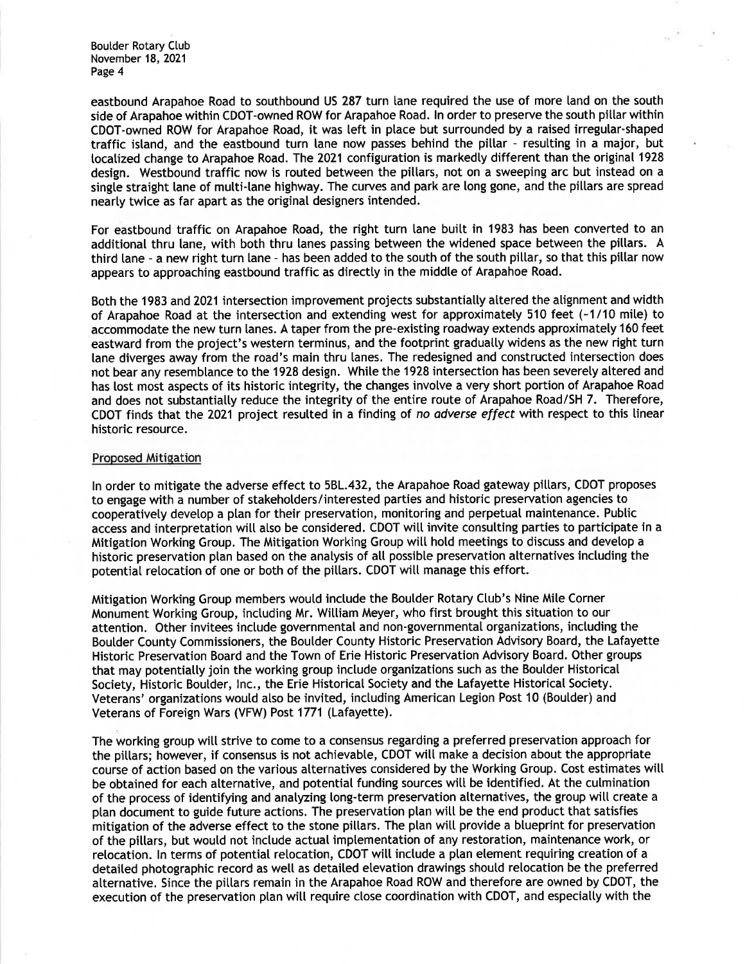eastbound Arapahoe Road to southbound US 287 turn lane required the use of more land on the south side of Arapahoe within CDOT-owned ROW for Arapahoe Road. In order to preserve the south pillar within CDOT-owned ROW for Arapahoe Road, it was left in place but surrounded by a raised irregular-shaped traffic island, and the eastbound turn lane now passes behind the pillar - resulting in a major, but localized change to Arapahoe Road. The 2021 configuration is markedly different than the original 1928 design. Westbound traffic now is routed between the pillars, not on a sweeping arc but instead on a single straight lane of multi-lane highway. The curves and park are long gone, and the pillars are spread nearly twice as far apart as the original designers intended.

For eastbound traffic on Arapahoe Road, the right turn lane built in 1983 has been converted to an additional thru lane, with both thru lanes passing between the widened space between the pillars. A third lane - a new right turn lane - has been added to the south of the south pillar, so that this pillar now appears to approaching eastbound traffic as directly in the middle of Arapahoe Road.

Both the 1983 and 2021 intersection improvement projects substantially altered the alignment and width of Arapahoe Road at the intersection and extending west for approximately 510 feet (-1/10 mile) to accommodate the new turn lanes. A taper from the pre-existing roadway extends approximately 160 feet eastward from the project's western terminus, and the footprint gradually widens as the new right turn lane diverges away from the road's main thru lanes. The redesigned and constructed intersection does not bear any resemblance to the 1928 design. While the 1928 intersection has been severely altered and has lost most aspects of its historic integrity, the changes involve a very short portion of Arapahoe Road and does not substantially reduce the integrity of the entire route of Arapahoe Road/SH 7. Therefore, CDOT finds that the 2021 project resulted in a finding of no adverse effect with respect to this linear historic resource.

### Proposed Mitigation

In order to mitigate the adverse effect to 5BL.432, the Arapahoe Road gateway pillars, CDOT proposes to engage with a number of stakeholders/interested parties and historic preservation agencies to cooperatively develop a plan for their preservation, monitoring and perpetual maintenance. Public access and interpretation will also be considered. CDOT will invite consulting parties to participate in a Mitigation Working Group. The Mitigation Working Group will hold meetings to discuss and develop a historic preservation plan based on the analysis of all possible preservation alternatives including the potential relocation of one or both of the pillars. CDOT will manage this effort.

Mitigation Working Group members would include the Boulder Rotary Club's Nine Mile Corner Monument Working Group, including Mr. William Meyer, who first brought this situation to our attention. Other invitees include governmental and non-governmental organizations, including the Boulder County Commissioners, the Boulder County Historic Preservation Advisory Board, the Lafayette Historic Preservation Board and the Town of Erie Historic Preservation Advisory Board. Other groups that may potentially join the working group include organizations such as the Boulder Historical Society, Historic Boulder, Inc., the Erie Historical Society and the Lafayette Historical Society. Veterans' organizations would also be invited, including American Legion Post 10 (Boulder) and Veterans of Foreign Wars (VFW) Post 1771 (Lafayette).

The working group will strive to come to a consensus regarding a preferred preservation approach for the pillars; however, if consensus is not achievable, CDOT will make a decision about the appropriate course of action based on the various alternatives considered by the Working Group. Cost estimates will be obtained for each alternative, and potential funding sources will be identified. At the culmination of the process of identifying and analyzing long-term preservation alternatives, the group will create a plan document to guide future actions. The preservation plan will be the end product that satisfies mitigation of the adverse effect to the stone pillars. The plan will provide a blueprint for preservation of the pillars, but would not include actual implementation of any restoration, maintenance work, or relocation. In terms of potential relocation, CDOT will include a plan element requiring creation of a detailed photographic record as well as detailed elevation drawings should relocation be the preferred alternative. Since the pillars remain in the Arapahoe Road ROW and therefore are owned by CDOT, the execution of the preservation plan will require close coordination with CDOT, and especially with the